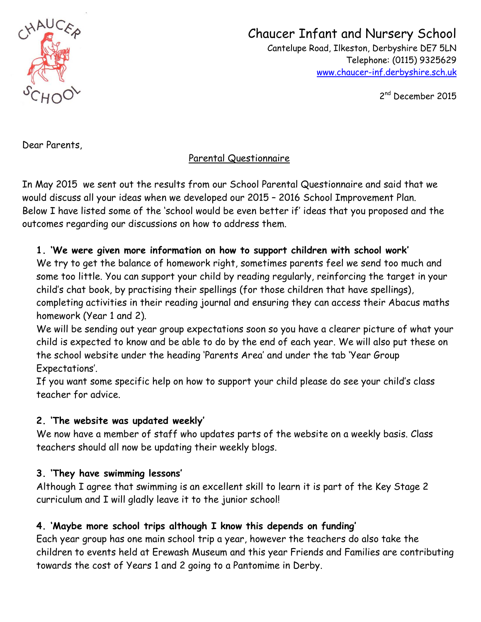

# Chaucer Infant and Nursery School

 Cantelupe Road, Ilkeston, Derbyshire DE7 5LN Telephone: (0115) 9325629 [www.chaucer-inf.derbyshire.sch.uk](http://www.chaucer-inf.derbyshire.sch.uk/)

2<sup>nd</sup> December 2015

Dear Parents,

# Parental Questionnaire

In May 2015 we sent out the results from our School Parental Questionnaire and said that we would discuss all your ideas when we developed our 2015 – 2016 School Improvement Plan. Below I have listed some of the 'school would be even better if' ideas that you proposed and the outcomes regarding our discussions on how to address them.

### **1. 'We were given more information on how to support children with school work'**

We try to get the balance of homework right, sometimes parents feel we send too much and some too little. You can support your child by reading regularly, reinforcing the target in your child's chat book, by practising their spellings (for those children that have spellings), completing activities in their reading journal and ensuring they can access their Abacus maths homework (Year 1 and 2).

We will be sending out year group expectations soon so you have a clearer picture of what your child is expected to know and be able to do by the end of each year. We will also put these on the school website under the heading 'Parents Area' and under the tab 'Year Group Expectations'.

If you want some specific help on how to support your child please do see your child's class teacher for advice.

#### **2. 'The website was updated weekly'**

We now have a member of staff who updates parts of the website on a weekly basis. Class teachers should all now be updating their weekly blogs.

### **3. 'They have swimming lessons'**

Although I agree that swimming is an excellent skill to learn it is part of the Key Stage 2 curriculum and I will gladly leave it to the junior school!

## **4. 'Maybe more school trips although I know this depends on funding'**

Each year group has one main school trip a year, however the teachers do also take the children to events held at Erewash Museum and this year Friends and Families are contributing towards the cost of Years 1 and 2 going to a Pantomime in Derby.